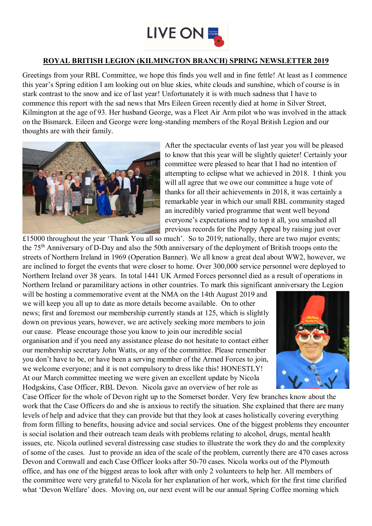

## **ROYAL BRITISH LEGION (KILMINGTON BRANCH) SPRING NEWSLETTER 2019**

Greetings from your RBL Committee, we hope this finds you well and in fine fettle! At least as I commence this year's Spring edition I am looking out on blue skies, white clouds and sunshine, which of course is in stark contrast to the snow and ice of last year! Unfortunately it is with much sadness that I have to commence this report with the sad news that Mrs Eileen Green recently died at home in Silver Street, Kilmington at the age of 93. Her husband George, was a Fleet Air Arm pilot who was involved in the attack on the Bismarck. Eileen and George were long-standing members of the Royal British Legion and our thoughts are with their family.



After the spectacular events of last year you will be pleased to know that this year will be slightly quieter! Certainly your committee were pleased to hear that I had no intention of attempting to eclipse what we achieved in 2018. I think you will all agree that we owe our committee a huge vote of thanks for all their achievements in 2018, it was certainly a remarkable year in which our small RBL community staged an incredibly varied programme that went well beyond everyone's expectations and to top it all, you smashed all previous records for the Poppy Appeal by raising just over

 $£15000$  throughout the year 'Thank You all so much'. So to 2019; nationally, there are two major events; the 75th Anniversary of D-Day and also the 50th anniversary of the deployment of British troops onto the streets of Northern Ireland in 1969 (Operation Banner). We all know a great deal about WW2, however, we are inclined to forget the events that were closer to home. Over 300,000 service personnel were deployed to Northern Ireland over 38 years. In total 1441 UK Armed Forces personnel died as a result of operations in Northern Ireland or paramilitary actions in other countries. To mark this significant anniversary the Legion

will be hosting a commemorative event at the NMA on the 14th August 2019 and we will keep you all up to date as more details become available. On to other news; first and foremost our membership currently stands at 125, which is slightly down on previous years, however, we are actively seeking more members to join our cause. Please encourage those you know to join our incredible social organisation and if you need any assistance please do not hesitate to contact either our membership secretary John Watts, or any of the committee. Please remember you don't have to be, or have been a serving member of the Armed Forces to join, we welcome everyone; and it is not compulsory to dress like this! HONESTLY! At our March committee meeting we were given an excellent update by Nicola Hodgskins, Case Officer, RBL Devon. Nicola gave an overview of her role as



Case Officer for the whole of Devon right up to the Somerset border. Very few branches know about the work that the Case Officers do and she is anxious to rectify the situation. She explained that there are many levels of help and advice that they can provide but that they look at cases holistically covering everything from form filling to benefits, housing advice and social services. One of the biggest problems they encounter is social isolation and their outreach team deals with problems relating to alcohol, drugs, mental health issues, etc. Nicola outlined several distressing case studies to illustrate the work they do and the complexity of some of the cases. Just to provide an idea of the scale of the problem, currently there are 470 cases across Devon and Cornwall and each Case Officer looks after 50-70 cases. Nicola works out of the Plymouth office, and has one of the biggest areas to look after with only 2 volunteers to help her. All members of the committee were very grateful to Nicola for her explanation of her work, which for the first time clarified what 'Devon Welfare' does. Moving on, our next event will be our annual Spring Coffee morning which